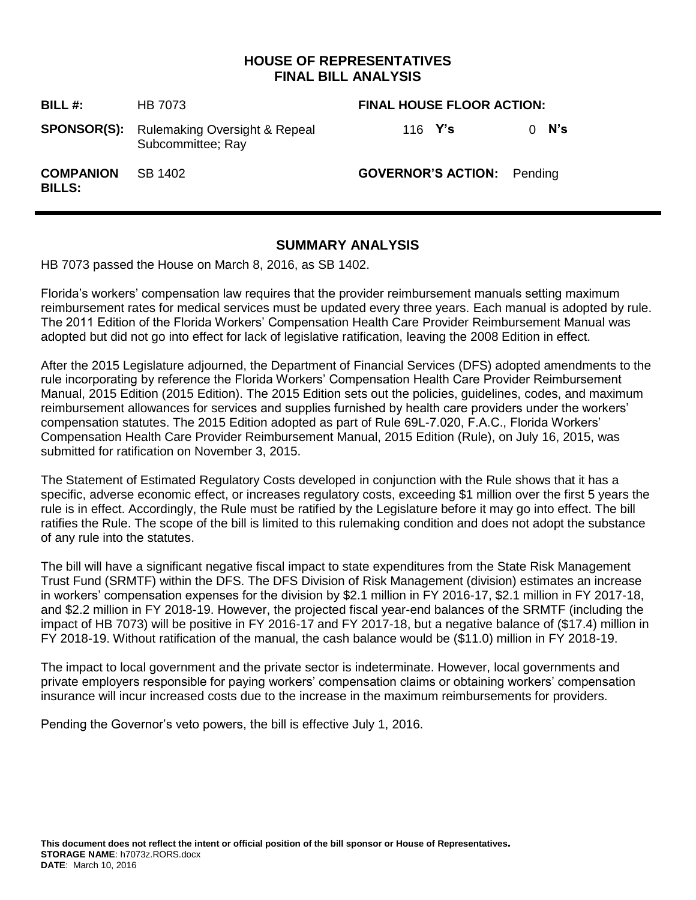# **HOUSE OF REPRESENTATIVES FINAL BILL ANALYSIS**

| BILL #:                           | HB 7073                                                               | <b>FINAL HOUSE FLOOR ACTION:</b>  |               |  |
|-----------------------------------|-----------------------------------------------------------------------|-----------------------------------|---------------|--|
|                                   | <b>SPONSOR(S):</b> Rulemaking Oversight & Repeal<br>Subcommittee; Ray | 116 $Y's$                         | $0 \quad$ N's |  |
| <b>COMPANION</b><br><b>BILLS:</b> | SB 1402                                                               | <b>GOVERNOR'S ACTION:</b> Pending |               |  |

## **SUMMARY ANALYSIS**

HB 7073 passed the House on March 8, 2016, as SB 1402.

Florida's workers' compensation law requires that the provider reimbursement manuals setting maximum reimbursement rates for medical services must be updated every three years. Each manual is adopted by rule. The 2011 Edition of the Florida Workers' Compensation Health Care Provider Reimbursement Manual was adopted but did not go into effect for lack of legislative ratification, leaving the 2008 Edition in effect.

After the 2015 Legislature adjourned, the Department of Financial Services (DFS) adopted amendments to the rule incorporating by reference the Florida Workers' Compensation Health Care Provider Reimbursement Manual, 2015 Edition (2015 Edition). The 2015 Edition sets out the policies, guidelines, codes, and maximum reimbursement allowances for services and supplies furnished by health care providers under the workers' compensation statutes. The 2015 Edition adopted as part of Rule 69L-7.020, F.A.C., Florida Workers' Compensation Health Care Provider Reimbursement Manual, 2015 Edition (Rule), on July 16, 2015, was submitted for ratification on November 3, 2015.

The Statement of Estimated Regulatory Costs developed in conjunction with the Rule shows that it has a specific, adverse economic effect, or increases regulatory costs, exceeding \$1 million over the first 5 years the rule is in effect. Accordingly, the Rule must be ratified by the Legislature before it may go into effect. The bill ratifies the Rule. The scope of the bill is limited to this rulemaking condition and does not adopt the substance of any rule into the statutes.

The bill will have a significant negative fiscal impact to state expenditures from the State Risk Management Trust Fund (SRMTF) within the DFS. The DFS Division of Risk Management (division) estimates an increase in workers' compensation expenses for the division by \$2.1 million in FY 2016-17, \$2.1 million in FY 2017-18, and \$2.2 million in FY 2018-19. However, the projected fiscal year-end balances of the SRMTF (including the impact of HB 7073) will be positive in FY 2016-17 and FY 2017-18, but a negative balance of (\$17.4) million in FY 2018-19. Without ratification of the manual, the cash balance would be (\$11.0) million in FY 2018-19.

The impact to local government and the private sector is indeterminate. However, local governments and private employers responsible for paying workers' compensation claims or obtaining workers' compensation insurance will incur increased costs due to the increase in the maximum reimbursements for providers.

Pending the Governor's veto powers, the bill is effective July 1, 2016.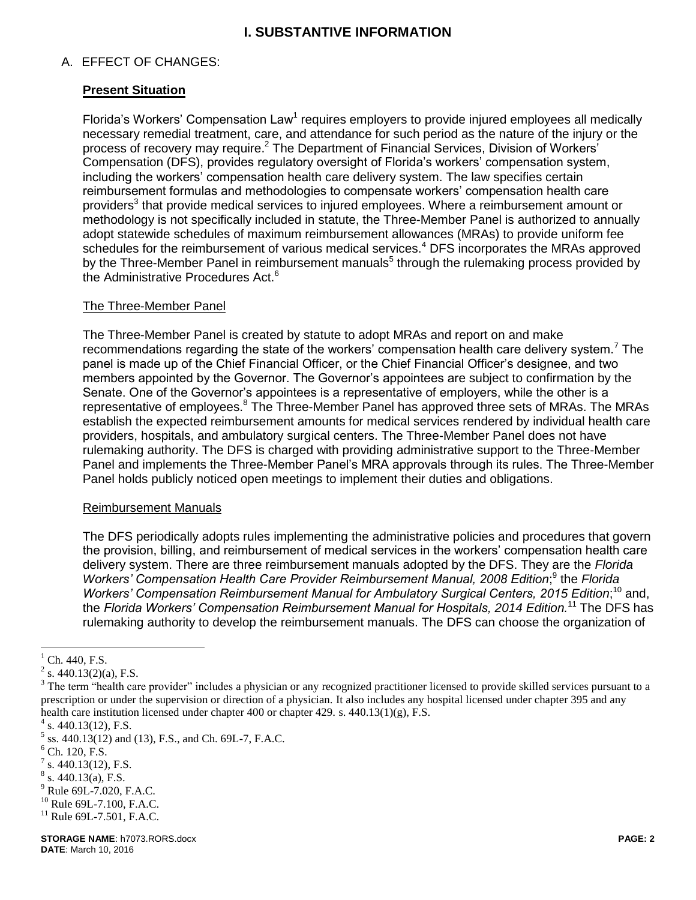# **I. SUBSTANTIVE INFORMATION**

## A. EFFECT OF CHANGES:

## **Present Situation**

Florida's Workers' Compensation Law<sup>1</sup> requires employers to provide injured employees all medically necessary remedial treatment, care, and attendance for such period as the nature of the injury or the process of recovery may require.<sup>2</sup> The Department of Financial Services, Division of Workers' Compensation (DFS), provides regulatory oversight of Florida's workers' compensation system, including the workers' compensation health care delivery system. The law specifies certain reimbursement formulas and methodologies to compensate workers' compensation health care providers<sup>3</sup> that provide medical services to injured employees. Where a reimbursement amount or methodology is not specifically included in statute, the Three-Member Panel is authorized to annually adopt statewide schedules of maximum reimbursement allowances (MRAs) to provide uniform fee schedules for the reimbursement of various medical services.<sup>4</sup> DFS incorporates the MRAs approved by the Three-Member Panel in reimbursement manuals<sup>5</sup> through the rulemaking process provided by the Administrative Procedures Act.<sup>6</sup>

#### The Three-Member Panel

The Three-Member Panel is created by statute to adopt MRAs and report on and make recommendations regarding the state of the workers' compensation health care delivery system.<sup>7</sup> The panel is made up of the Chief Financial Officer, or the Chief Financial Officer's designee, and two members appointed by the Governor. The Governor's appointees are subject to confirmation by the Senate. One of the Governor's appointees is a representative of employers, while the other is a representative of employees.<sup>8</sup> The Three-Member Panel has approved three sets of MRAs. The MRAs establish the expected reimbursement amounts for medical services rendered by individual health care providers, hospitals, and ambulatory surgical centers. The Three-Member Panel does not have rulemaking authority. The DFS is charged with providing administrative support to the Three-Member Panel and implements the Three-Member Panel's MRA approvals through its rules. The Three-Member Panel holds publicly noticed open meetings to implement their duties and obligations.

#### Reimbursement Manuals

The DFS periodically adopts rules implementing the administrative policies and procedures that govern the provision, billing, and reimbursement of medical services in the workers' compensation health care delivery system. There are three reimbursement manuals adopted by the DFS. They are the *Florida*  Workers' Compensation Health Care Provider Reimbursement Manual, 2008 Edition;<sup>9</sup> the Florida Workers' Compensation Reimbursement Manual for Ambulatory Surgical Centers, 2015 Edition;<sup>10</sup> and, the *Florida Workers' Compensation Reimbursement Manual for Hospitals, 2014 Edition.* <sup>11</sup> The DFS has rulemaking authority to develop the reimbursement manuals. The DFS can choose the organization of

 $\overline{a}$ 

Ch. 440, F.S.

 $2^2$  s. 440.13(2)(a), F.S.

<sup>&</sup>lt;sup>3</sup> The term "health care provider" includes a physician or any recognized practitioner licensed to provide skilled services pursuant to a prescription or under the supervision or direction of a physician. It also includes any hospital licensed under chapter 395 and any health care institution licensed under chapter 400 or chapter 429. s. 440.13(1)(g), F.S.

 $4$  s. 440.13(12), F.S.

 $<sup>5</sup>$  ss. 440.13(12) and (13), F.S., and Ch. 69L-7, F.A.C.</sup>

 $6$  Ch. 120, F.S.

 $7$  s. 440.13(12), F.S.

 $8$  s. 440.13(a), F.S.

<sup>9</sup> Rule 69L-7.020, F.A.C.

 $10$  Rule 69L-7.100, F.A.C.

 $11$  Rule 69L-7.501, F.A.C.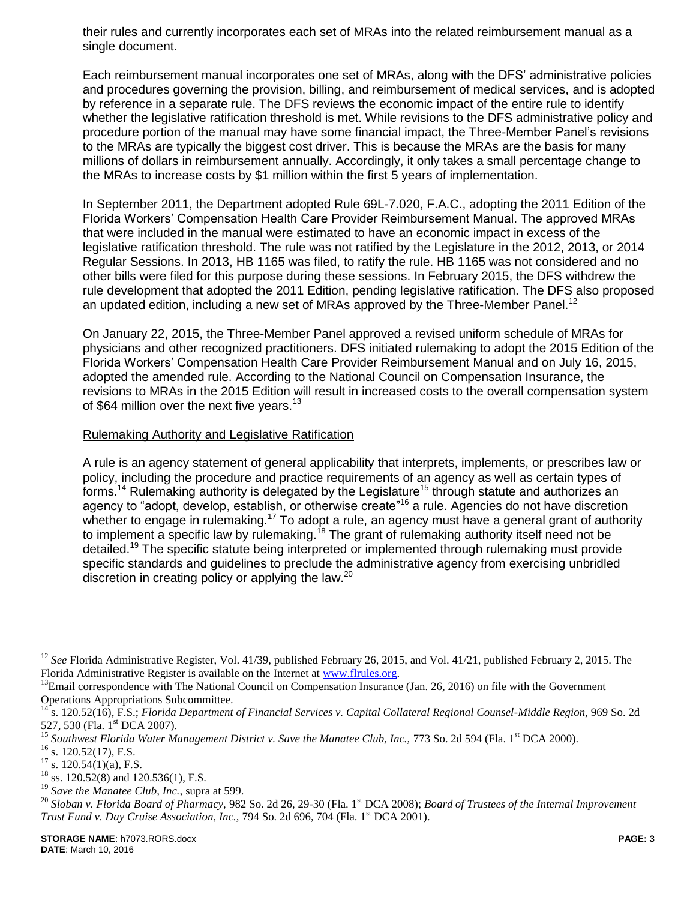their rules and currently incorporates each set of MRAs into the related reimbursement manual as a single document.

Each reimbursement manual incorporates one set of MRAs, along with the DFS' administrative policies and procedures governing the provision, billing, and reimbursement of medical services, and is adopted by reference in a separate rule. The DFS reviews the economic impact of the entire rule to identify whether the legislative ratification threshold is met. While revisions to the DFS administrative policy and procedure portion of the manual may have some financial impact, the Three-Member Panel's revisions to the MRAs are typically the biggest cost driver. This is because the MRAs are the basis for many millions of dollars in reimbursement annually. Accordingly, it only takes a small percentage change to the MRAs to increase costs by \$1 million within the first 5 years of implementation.

In September 2011, the Department adopted Rule 69L-7.020, F.A.C., adopting the 2011 Edition of the Florida Workers' Compensation Health Care Provider Reimbursement Manual. The approved MRAs that were included in the manual were estimated to have an economic impact in excess of the legislative ratification threshold. The rule was not ratified by the Legislature in the 2012, 2013, or 2014 Regular Sessions. In 2013, HB 1165 was filed, to ratify the rule. HB 1165 was not considered and no other bills were filed for this purpose during these sessions. In February 2015, the DFS withdrew the rule development that adopted the 2011 Edition, pending legislative ratification. The DFS also proposed an updated edition, including a new set of MRAs approved by the Three-Member Panel.<sup>12</sup>

On January 22, 2015, the Three-Member Panel approved a revised uniform schedule of MRAs for physicians and other recognized practitioners. DFS initiated rulemaking to adopt the 2015 Edition of the Florida Workers' Compensation Health Care Provider Reimbursement Manual and on July 16, 2015, adopted the amended rule. According to the National Council on Compensation Insurance, the revisions to MRAs in the 2015 Edition will result in increased costs to the overall compensation system of \$64 million over the next five years.<sup>13</sup>

#### Rulemaking Authority and Legislative Ratification

A rule is an agency statement of general applicability that interprets, implements, or prescribes law or policy, including the procedure and practice requirements of an agency as well as certain types of forms.<sup>14</sup> Rulemaking authority is delegated by the Legislature<sup>15</sup> through statute and authorizes an agency to "adopt, develop, establish, or otherwise create"<sup>16</sup> a rule. Agencies do not have discretion whether to engage in rulemaking.<sup>17</sup> To adopt a rule, an agency must have a general grant of authority to implement a specific law by rulemaking.<sup>18</sup> The grant of rulemaking authority itself need not be detailed.<sup>19</sup> The specific statute being interpreted or implemented through rulemaking must provide specific standards and guidelines to preclude the administrative agency from exercising unbridled discretion in creating policy or applying the law.<sup>20</sup>

 $\overline{a}$ 

<sup>12</sup> *See* Florida Administrative Register, Vol. 41/39, published February 26, 2015, and Vol. 41/21, published February 2, 2015. The Florida Administrative Register is available on the Internet at [www.flrules.org.](http://www.flrules.org/) 

 $13$ Email correspondence with The National Council on Compensation Insurance (Jan. 26, 2016) on file with the Government Operations Appropriations Subcommittee.

<sup>14</sup> s. 120.52(16), F.S.; *Florida Department of Financial Services v. Capital Collateral Regional Counsel-Middle Region,* 969 So. 2d 527, 530 (Fla. 1<sup>st</sup> DCA 2007).

Southwest Florida Water Management District v. Save the Manatee Club, Inc., 773 So. 2d 594 (Fla. 1<sup>st</sup> DCA 2000).

 $^{16}$  s. 120.52(17), F.S.<br> $^{17}$  s. 120.54(1)(a) F.S.

 $^{17}$  s. 120.54(1)(a), F.S.

ss. 120.52(8) and 120.536(1), F.S.

<sup>19</sup> *Save the Manatee Club, Inc.,* supra at 599.

<sup>&</sup>lt;sup>20</sup> Sloban v. Florida Board of Pharmacy, 982 So. 2d 26, 29-30 (Fla. 1<sup>st</sup> DCA 2008); *Board of Trustees of the Internal Improvement Trust Fund v. Day Cruise Association, Inc., 794 So. 2d 696, 704 (Fla. 1<sup>st</sup> DCA 2001).*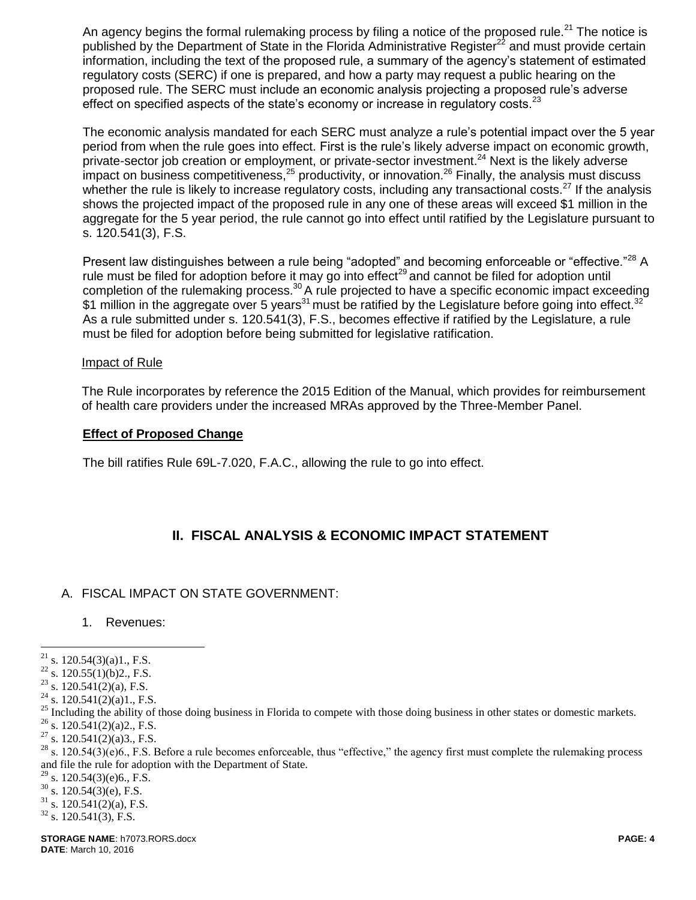An agency begins the formal rulemaking process by filing a notice of the proposed rule.<sup>21</sup> The notice is published by the Department of State in the Florida Administrative Register<sup>22</sup> and must provide certain information, including the text of the proposed rule, a summary of the agency's statement of estimated regulatory costs (SERC) if one is prepared, and how a party may request a public hearing on the proposed rule. The SERC must include an economic analysis projecting a proposed rule's adverse effect on specified aspects of the state's economy or increase in regulatory costs. $^{23}$ 

The economic analysis mandated for each SERC must analyze a rule's potential impact over the 5 year period from when the rule goes into effect. First is the rule's likely adverse impact on economic growth, private-sector job creation or employment, or private-sector investment.<sup>24</sup> Next is the likely adverse impact on business competitiveness,  $25$  productivity, or innovation.  $26$  Finally, the analysis must discuss whether the rule is likely to increase regulatory costs, including any transactional costs.<sup>27</sup> If the analysis shows the projected impact of the proposed rule in any one of these areas will exceed \$1 million in the aggregate for the 5 year period, the rule cannot go into effect until ratified by the Legislature pursuant to s. 120.541(3), F.S.

Present law distinguishes between a rule being "adopted" and becoming enforceable or "effective."<sup>28</sup> A rule must be filed for adoption before it may go into effect<sup>29</sup> and cannot be filed for adoption until completion of the rulemaking process.<sup>30</sup> A rule projected to have a specific economic impact exceeding \$1 million in the aggregate over 5 years<sup>31</sup> must be ratified by the Legislature before going into effect.<sup>32</sup> As a rule submitted under s. 120.541(3), F.S., becomes effective if ratified by the Legislature, a rule must be filed for adoption before being submitted for legislative ratification.

#### Impact of Rule

The Rule incorporates by reference the 2015 Edition of the Manual, which provides for reimbursement of health care providers under the increased MRAs approved by the Three-Member Panel.

#### **Effect of Proposed Change**

The bill ratifies Rule 69L-7.020, F.A.C., allowing the rule to go into effect.

# **II. FISCAL ANALYSIS & ECONOMIC IMPACT STATEMENT**

### A. FISCAL IMPACT ON STATE GOVERNMENT:

1. Revenues:

- s.  $120.54(3)(e)6$ ., F.S.
- $30$  s. 120.54(3)(e), F.S.
- $31$  s. 120.541(2)(a), F.S.
- $32$  s. 120.541(3), F.S.

 $21$ s.  $120.54(3)(a)1$ ., F.S.

 $^{22}$  s. 120.55(1)(b)2., F.S.

 $23$  s. 120.541(2)(a), F.S.

 $24$  s. 120.541(2)(a)1., F.S.

<sup>&</sup>lt;sup>25</sup> Including the ability of those doing business in Florida to compete with those doing business in other states or domestic markets.

<sup>&</sup>lt;sup>26</sup> s. 120.541(2)(a) 2., F.S.<br><sup>27</sup> s. 120.541(2)(a) 3 F.S.

s.  $120.541(2)(a)3$ ., F.S.

 $^{28}$  s. 120.54(3)(e)6., F.S. Before a rule becomes enforceable, thus "effective," the agency first must complete the rulemaking process and file the rule for adoption with the Department of State.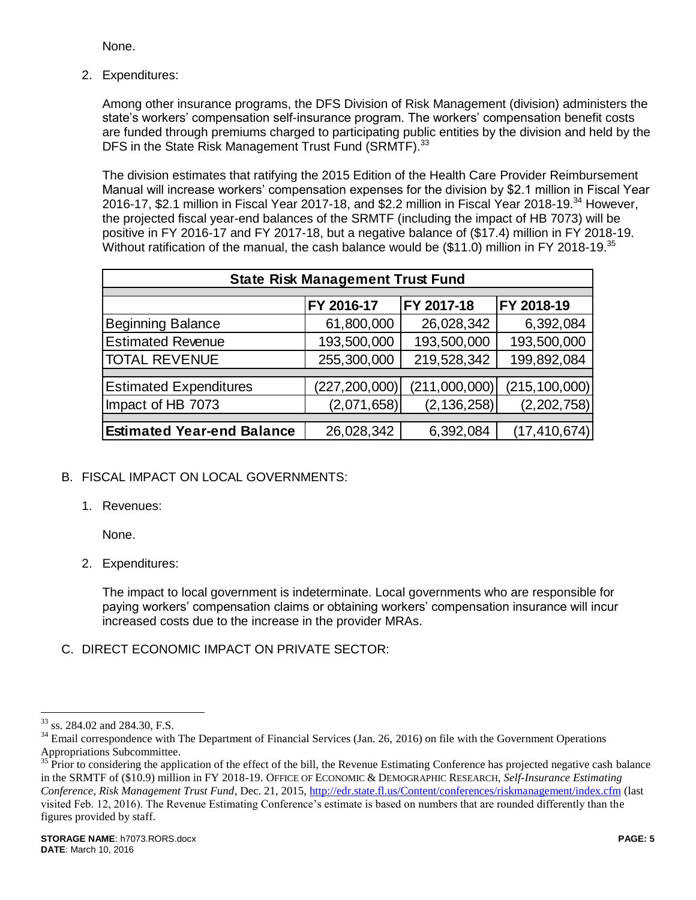None.

2. Expenditures:

Among other insurance programs, the DFS Division of Risk Management (division) administers the state's workers' compensation self-insurance program. The workers' compensation benefit costs are funded through premiums charged to participating public entities by the division and held by the DFS in the State Risk Management Trust Fund (SRMTF).<sup>33</sup>

The division estimates that ratifying the 2015 Edition of the Health Care Provider Reimbursement Manual will increase workers' compensation expenses for the division by \$2.1 million in Fiscal Year 2016-17, \$2.1 million in Fiscal Year 2017-18, and \$2.2 million in Fiscal Year 2018-19.<sup>34</sup> However, the projected fiscal year-end balances of the SRMTF (including the impact of HB 7073) will be positive in FY 2016-17 and FY 2017-18, but a negative balance of (\$17.4) million in FY 2018-19. Without ratification of the manual, the cash balance would be (\$11.0) million in FY 2018-19.<sup>35</sup>

| <b>State Risk Management Trust Fund</b> |                 |               |                 |  |  |
|-----------------------------------------|-----------------|---------------|-----------------|--|--|
|                                         |                 |               |                 |  |  |
|                                         | FY 2016-17      | FY 2017-18    | FY 2018-19      |  |  |
| <b>Beginning Balance</b>                | 61,800,000      | 26,028,342    | 6,392,084       |  |  |
| <b>Estimated Revenue</b>                | 193,500,000     | 193,500,000   | 193,500,000     |  |  |
| <b>TOTAL REVENUE</b>                    | 255,300,000     | 219,528,342   | 199,892,084     |  |  |
|                                         |                 |               |                 |  |  |
| <b>Estimated Expenditures</b>           | (227, 200, 000) | (211,000,000) | (215, 100, 000) |  |  |
| Impact of HB 7073                       | (2,071,658)     | (2, 136, 258) | (2,202,758)     |  |  |
|                                         |                 |               |                 |  |  |
| <b>Estimated Year-end Balance</b>       | 26,028,342      | 6,392,084     | (17, 410, 674)  |  |  |
|                                         |                 |               |                 |  |  |

# B. FISCAL IMPACT ON LOCAL GOVERNMENTS:

1. Revenues:

None.

2. Expenditures:

The impact to local government is indeterminate. Local governments who are responsible for paying workers' compensation claims or obtaining workers' compensation insurance will incur increased costs due to the increase in the provider MRAs.

C. DIRECT ECONOMIC IMPACT ON PRIVATE SECTOR:

 $\overline{a}$ 

<sup>&</sup>lt;sup>33</sup> ss. 284.02 and 284.30, F.S.

<sup>&</sup>lt;sup>34</sup> Email correspondence with The Department of Financial Services (Jan. 26, 2016) on file with the Government Operations Appropriations Subcommittee.

<sup>&</sup>lt;sup>35</sup> Prior to considering the application of the effect of the bill, the Revenue Estimating Conference has projected negative cash balance in the SRMTF of (\$10.9) million in FY 2018-19. OFFICE OF ECONOMIC & DEMOGRAPHIC RESEARCH, *Self-Insurance Estimating Conference, Risk Management Trust Fund*, Dec. 21, 2015,<http://edr.state.fl.us/Content/conferences/riskmanagement/index.cfm> (last visited Feb. 12, 2016). The Revenue Estimating Conference's estimate is based on numbers that are rounded differently than the figures provided by staff.